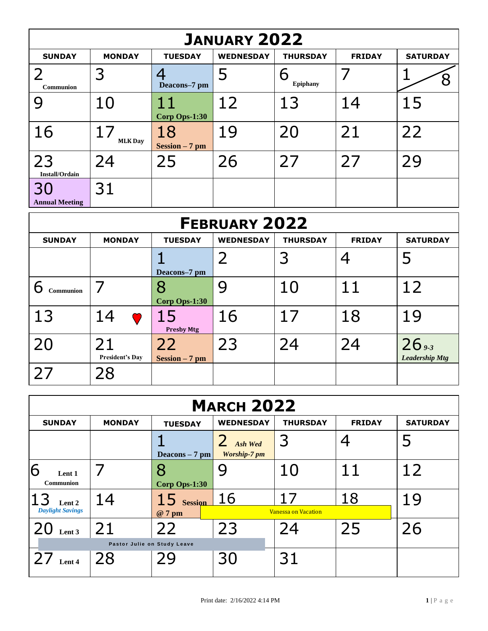| <b>JANUARY 2022</b>         |                      |                        |                  |                      |               |                 |  |  |
|-----------------------------|----------------------|------------------------|------------------|----------------------|---------------|-----------------|--|--|
| <b>SUNDAY</b>               | <b>MONDAY</b>        | <b>TUESDAY</b>         | <b>WEDNESDAY</b> | <b>THURSDAY</b>      | <b>FRIDAY</b> | <b>SATURDAY</b> |  |  |
| Communion                   | 3                    | Deacons-7 pm           | Ь                | 6<br><b>Epiphany</b> |               |                 |  |  |
|                             | 10                   | 11<br>Corp Ops-1:30    | 12               | 13                   | 14            | 15              |  |  |
| 16                          | 17<br><b>MLK Day</b> | 18<br>$Session - 7 pm$ | 19               | 20                   | 21            | 22              |  |  |
| 23<br><b>Install/Ordain</b> | 24                   | 25                     | 26               | 27                   | 27            | 29              |  |  |
| 30<br><b>Annual Meeting</b> | 31                   |                        |                  |                      |               |                 |  |  |

| <b>FEBRUARY 2022</b> |                              |                         |                  |                 |               |                                |  |  |
|----------------------|------------------------------|-------------------------|------------------|-----------------|---------------|--------------------------------|--|--|
| <b>SUNDAY</b>        | <b>MONDAY</b>                | <b>TUESDAY</b>          | <b>WEDNESDAY</b> | <b>THURSDAY</b> | <b>FRIDAY</b> | <b>SATURDAY</b>                |  |  |
|                      |                              | Deacons-7 pm            |                  | 3               |               |                                |  |  |
| <b>Communion</b>     |                              | 8<br>Corp Ops-1:30      | 9                | 10              | 11            | 12                             |  |  |
| 13                   | 14                           | 15<br><b>Presby Mtg</b> | 16               | 17              | 18            | 19                             |  |  |
| 20                   | 21<br><b>President's Day</b> | 22<br>$Session - 7 pm$  | 23               | 24              | 24            | 26,36<br><b>Leadership Mtg</b> |  |  |
| 27                   | 28                           |                         |                  |                 |               |                                |  |  |

| <b>MARCH 2022</b>               |               |                    |                                                  |                            |               |                 |  |  |
|---------------------------------|---------------|--------------------|--------------------------------------------------|----------------------------|---------------|-----------------|--|--|
| <b>SUNDAY</b>                   | <b>MONDAY</b> | <b>TUESDAY</b>     | <b>WEDNESDAY</b>                                 | <b>THURSDAY</b>            | <b>FRIDAY</b> | <b>SATURDAY</b> |  |  |
|                                 |               | Deacons $-7$ pm    | $\overline{2}$<br>Ash Wed<br><b>Worship-7 pm</b> | З                          |               | 5               |  |  |
| Ò<br>Lent 1<br><b>Communion</b> |               | 8<br>Corp Ops-1:30 |                                                  | 10                         | 11            | 12              |  |  |
| Lent 2                          | 14            | $15$ Session       | 16                                               | 17                         | 18            | 19              |  |  |
| <b>Daylight Savings</b>         |               | @ 7 pm             |                                                  | <b>Vanessa on Vacation</b> |               |                 |  |  |
| Lent 3                          | 21            | 22                 | 23                                               | 24                         | 25            | 26              |  |  |
| Pastor Julie on Study Leave     |               |                    |                                                  |                            |               |                 |  |  |
| $27$ Lent 4                     | 28            | 29                 | 30                                               | 31                         |               |                 |  |  |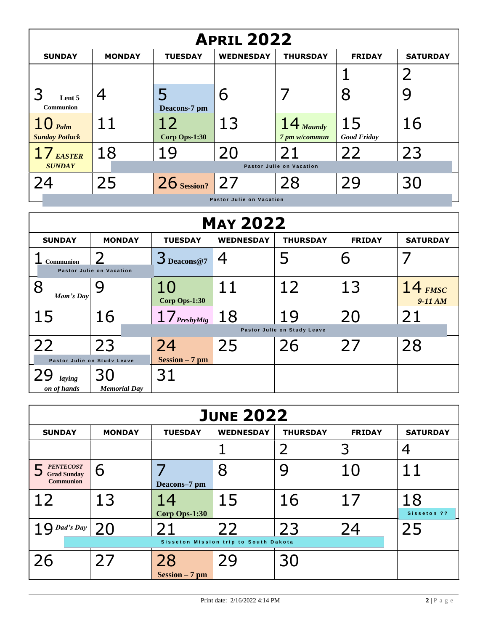| <b>APRIL 2022</b>                              |               |                     |                          |                                |                          |                 |  |  |
|------------------------------------------------|---------------|---------------------|--------------------------|--------------------------------|--------------------------|-----------------|--|--|
| <b>SUNDAY</b>                                  | <b>MONDAY</b> | <b>TUESDAY</b>      | <b>WEDNESDAY</b>         | <b>THURSDAY</b>                | <b>FRIDAY</b>            | <b>SATURDAY</b> |  |  |
|                                                |               |                     |                          |                                |                          |                 |  |  |
| Lent 5<br><b>Communion</b>                     | 4             | Deacons-7 pm        | 6                        |                                | 8                        |                 |  |  |
| $10$ $_{\text{Palm}}$<br><b>Sunday Potluck</b> | 11            | 12<br>Corp Ops-1:30 | 13                       | $14$ Maundy<br>7 pm w/commun   | 15<br><b>Good Friday</b> | 16              |  |  |
| 17 <sub>EASTER</sub><br><b>SUNDAY</b>          | 18            | 19                  | 20                       | 21<br>Pastor Julie on Vacation | 22                       | 23              |  |  |
| 24                                             | 25            | $26$ Session?       | 27                       | 28                             | 29                       | 30              |  |  |
|                                                |               |                     | Pastor Julie on Vacation |                                |                          |                 |  |  |

| <b>MAY 2022</b>                                 |                          |                        |                  |                             |               |                        |  |
|-------------------------------------------------|--------------------------|------------------------|------------------|-----------------------------|---------------|------------------------|--|
| <b>SUNDAY</b>                                   | <b>MONDAY</b>            | <b>TUESDAY</b>         | <b>WEDNESDAY</b> | <b>THURSDAY</b>             | <b>FRIDAY</b> | <b>SATURDAY</b>        |  |
| <b>Communion</b>                                | Pastor Julie on Vacation | $3_{\text{Deacons@7}}$ |                  |                             | 6             |                        |  |
| Mom's Day                                       | Y                        | 10<br>Corp Ops-1:30    | 11               | 12                          | 13            | $14$ FMSC<br>$9-11 AM$ |  |
| 15                                              | 16                       | $17_{PresbyMtg}$       | 18               | 19                          | 20            | 21                     |  |
|                                                 |                          |                        |                  | Pastor Julie on Study Leave |               |                        |  |
| 22                                              | 23                       | 24                     | 25               | 26                          | 27            | 28                     |  |
| $Session - 7 pm$<br>Pastor Julie on Study Leave |                          |                        |                  |                             |               |                        |  |
| laying                                          | 30                       | 31                     |                  |                             |               |                        |  |
| on of hands                                     | <b>Memorial Day</b>      |                        |                  |                             |               |                        |  |

| <b>JUNE 2022</b>                                           |               |                        |                                             |                 |               |                   |  |  |
|------------------------------------------------------------|---------------|------------------------|---------------------------------------------|-----------------|---------------|-------------------|--|--|
| <b>SUNDAY</b>                                              | <b>MONDAY</b> | <b>TUESDAY</b>         | <b>WEDNESDAY</b>                            | <b>THURSDAY</b> | <b>FRIDAY</b> | <b>SATURDAY</b>   |  |  |
|                                                            |               |                        |                                             | 2               | 3             |                   |  |  |
| <b>PENTECOST</b><br><b>Grad Sunday</b><br><b>Communion</b> | 6             | Deacons-7 pm           |                                             |                 | 10            | 11                |  |  |
| 12                                                         | 13            | 14<br>Corp Ops-1:30    | 15                                          | 16              | 17            | 18<br>Sisseton ?? |  |  |
| Dad's Day                                                  | 20            |                        | 22<br>Sisseton Mission trip to South Dakota | 23              | 24            | 25                |  |  |
| 26                                                         | 27            | 28<br>$Session - 7 pm$ | 29                                          | 30              |               |                   |  |  |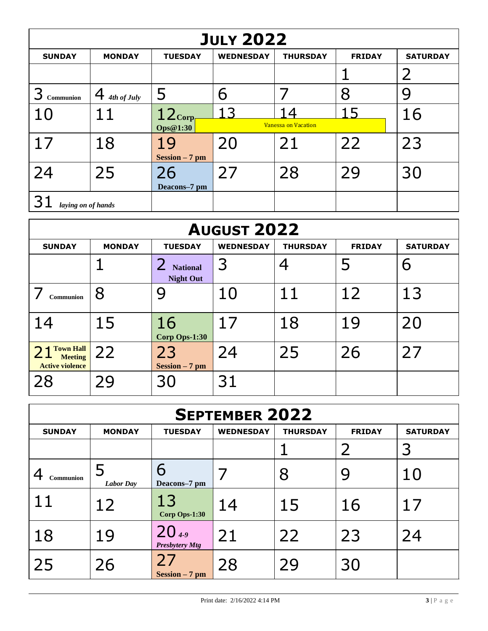| <b>JULY 2022</b>   |                  |                  |                  |                            |               |                 |  |  |
|--------------------|------------------|------------------|------------------|----------------------------|---------------|-----------------|--|--|
| <b>SUNDAY</b>      | <b>MONDAY</b>    | <b>TUESDAY</b>   | <b>WEDNESDAY</b> | <b>THURSDAY</b>            | <b>FRIDAY</b> | <b>SATURDAY</b> |  |  |
|                    |                  |                  |                  |                            |               | $\overline{2}$  |  |  |
| Communion          | 4<br>4th of July | 5                | 6                |                            | 8             |                 |  |  |
| 10                 | 11               | $12_{\rm Corp}$  |                  | $\Delta$                   | 15            | 16              |  |  |
|                    |                  | Ops@1:30         |                  | <b>Vanessa on Vacation</b> |               |                 |  |  |
| 17                 | 18               | 19               | 20               | 21                         | 22            | 23              |  |  |
|                    |                  | $Session - 7 pm$ |                  |                            |               |                 |  |  |
| 24                 | 25               | 26               | 27               | 28                         | 29            | 30              |  |  |
|                    |                  | Deacons–7 pm     |                  |                            |               |                 |  |  |
| laying on of hands |                  |                  |                  |                            |               |                 |  |  |

| <b>AUGUST 2022</b>                                           |               |                                     |                  |                 |               |                 |  |  |
|--------------------------------------------------------------|---------------|-------------------------------------|------------------|-----------------|---------------|-----------------|--|--|
| <b>SUNDAY</b>                                                | <b>MONDAY</b> | <b>TUESDAY</b>                      | <b>WEDNESDAY</b> | <b>THURSDAY</b> | <b>FRIDAY</b> | <b>SATURDAY</b> |  |  |
|                                                              |               | <b>National</b><br><b>Night Out</b> | 3                | 4               | 5             | 6               |  |  |
| Communion                                                    | 8             | 9                                   | 10               | 11              | 12            | 13              |  |  |
| 14                                                           | 15            | 16<br>Corp Ops-1:30                 | 17               | 18              | 19            | 20              |  |  |
| <b>Town Hall</b><br><b>Meeting</b><br><b>Active violence</b> | 22            | 23<br>$Session - 7 pm$              | 24               | 25              | 26            | 27              |  |  |
| 28                                                           | 29            | 30                                  | 31               |                 |               |                 |  |  |

| <b>SEPTEMBER 2022</b> |                  |                                     |                  |                 |               |                 |  |  |
|-----------------------|------------------|-------------------------------------|------------------|-----------------|---------------|-----------------|--|--|
| <b>SUNDAY</b>         | <b>MONDAY</b>    | <b>TUESDAY</b>                      | <b>WEDNESDAY</b> | <b>THURSDAY</b> | <b>FRIDAY</b> | <b>SATURDAY</b> |  |  |
|                       |                  |                                     |                  |                 |               |                 |  |  |
| Communion             | <b>Labor Day</b> | 6<br>Deacons-7 pm                   |                  | 8               | 9             | 10              |  |  |
|                       | 12               | 13<br>Corp Ops-1:30                 | 14               | 15              | 16            | 17              |  |  |
| 18                    | 19               | $20_{4.9}$<br><b>Presbytery Mtg</b> | 21               | 22              | 23            | 24              |  |  |
| 25                    | 26               | 27<br>$Session - 7 pm$              | 28               | 29              | 30            |                 |  |  |